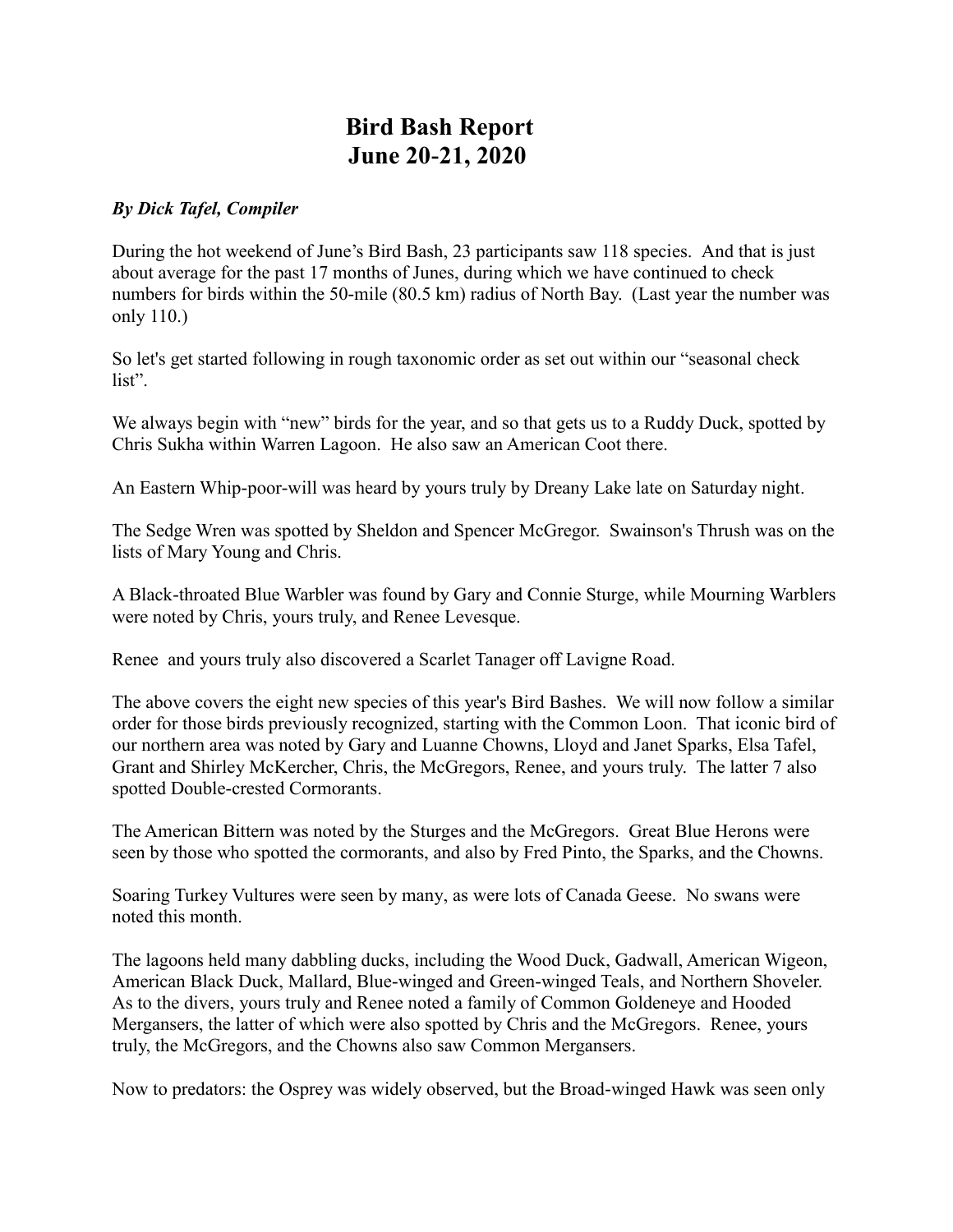## **Bird Bash Report June 20-21, 2020**

## *By Dick Tafel, Compiler*

During the hot weekend of June's Bird Bash, 23 participants saw 118 species. And that is just about average for the past 17 months of Junes, during which we have continued to check numbers for birds within the 50-mile (80.5 km) radius of North Bay. (Last year the number was only 110.)

So let's get started following in rough taxonomic order as set out within our "seasonal check list".

We always begin with "new" birds for the year, and so that gets us to a Ruddy Duck, spotted by Chris Sukha within Warren Lagoon. He also saw an American Coot there.

An Eastern Whip-poor-will was heard by yours truly by Dreany Lake late on Saturday night.

The Sedge Wren was spotted by Sheldon and Spencer McGregor. Swainson's Thrush was on the lists of Mary Young and Chris.

A Black-throated Blue Warbler was found by Gary and Connie Sturge, while Mourning Warblers were noted by Chris, yours truly, and Renee Levesque.

Renee and yours truly also discovered a Scarlet Tanager off Lavigne Road.

The above covers the eight new species of this year's Bird Bashes. We will now follow a similar order for those birds previously recognized, starting with the Common Loon. That iconic bird of our northern area was noted by Gary and Luanne Chowns, Lloyd and Janet Sparks, Elsa Tafel, Grant and Shirley McKercher, Chris, the McGregors, Renee, and yours truly. The latter 7 also spotted Double-crested Cormorants.

The American Bittern was noted by the Sturges and the McGregors. Great Blue Herons were seen by those who spotted the cormorants, and also by Fred Pinto, the Sparks, and the Chowns.

Soaring Turkey Vultures were seen by many, as were lots of Canada Geese. No swans were noted this month.

The lagoons held many dabbling ducks, including the Wood Duck, Gadwall, American Wigeon, American Black Duck, Mallard, Blue-winged and Green-winged Teals, and Northern Shoveler. As to the divers, yours truly and Renee noted a family of Common Goldeneye and Hooded Mergansers, the latter of which were also spotted by Chris and the McGregors. Renee, yours truly, the McGregors, and the Chowns also saw Common Mergansers.

Now to predators: the Osprey was widely observed, but the Broad-winged Hawk was seen only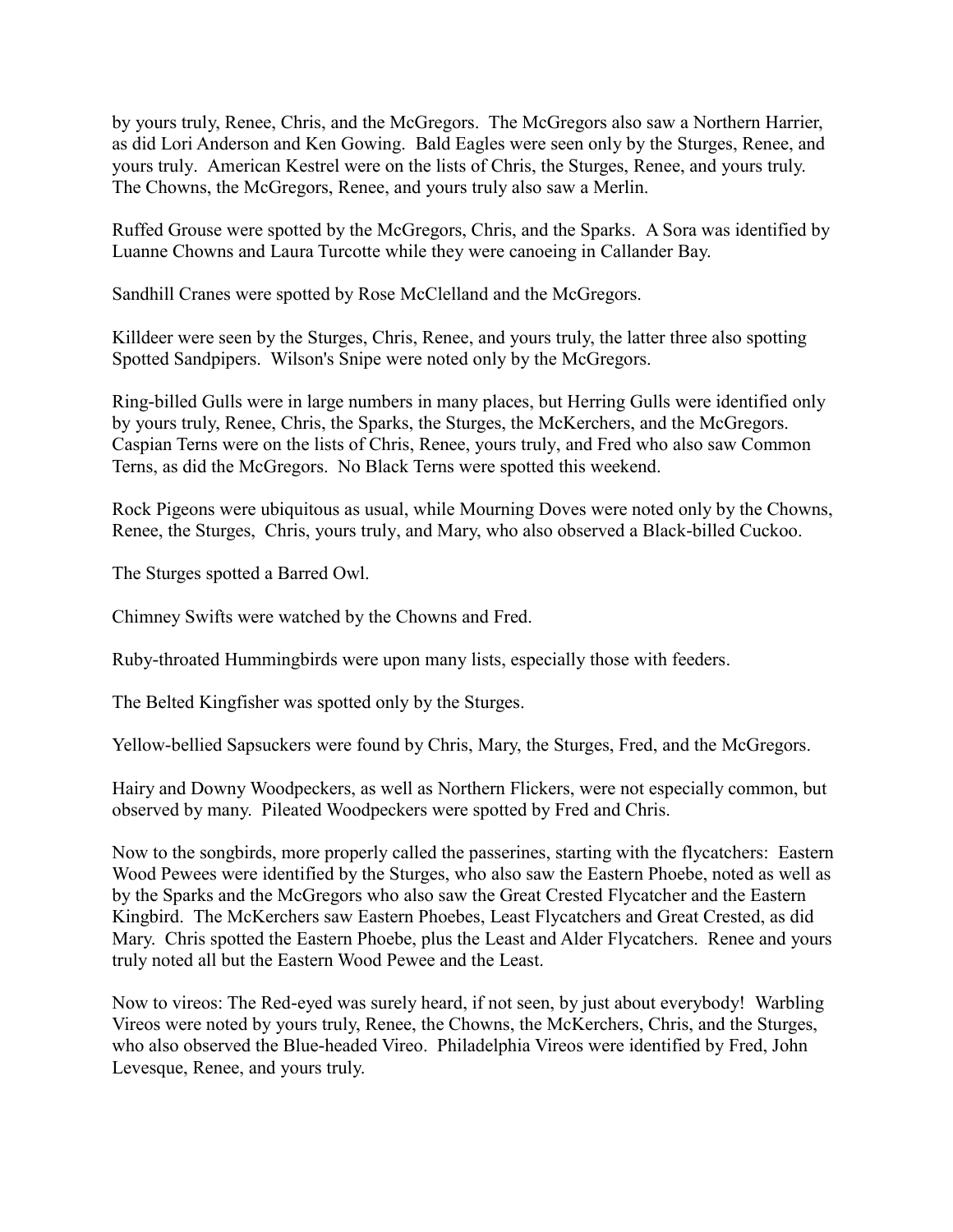by yours truly, Renee, Chris, and the McGregors. The McGregors also saw a Northern Harrier, as did Lori Anderson and Ken Gowing. Bald Eagles were seen only by the Sturges, Renee, and yours truly. American Kestrel were on the lists of Chris, the Sturges, Renee, and yours truly. The Chowns, the McGregors, Renee, and yours truly also saw a Merlin.

Ruffed Grouse were spotted by the McGregors, Chris, and the Sparks. A Sora was identified by Luanne Chowns and Laura Turcotte while they were canoeing in Callander Bay.

Sandhill Cranes were spotted by Rose McClelland and the McGregors.

Killdeer were seen by the Sturges, Chris, Renee, and yours truly, the latter three also spotting Spotted Sandpipers. Wilson's Snipe were noted only by the McGregors.

Ring-billed Gulls were in large numbers in many places, but Herring Gulls were identified only by yours truly, Renee, Chris, the Sparks, the Sturges, the McKerchers, and the McGregors. Caspian Terns were on the lists of Chris, Renee, yours truly, and Fred who also saw Common Terns, as did the McGregors. No Black Terns were spotted this weekend.

Rock Pigeons were ubiquitous as usual, while Mourning Doves were noted only by the Chowns, Renee, the Sturges, Chris, yours truly, and Mary, who also observed a Black-billed Cuckoo.

The Sturges spotted a Barred Owl.

Chimney Swifts were watched by the Chowns and Fred.

Ruby-throated Hummingbirds were upon many lists, especially those with feeders.

The Belted Kingfisher was spotted only by the Sturges.

Yellow-bellied Sapsuckers were found by Chris, Mary, the Sturges, Fred, and the McGregors.

Hairy and Downy Woodpeckers, as well as Northern Flickers, were not especially common, but observed by many. Pileated Woodpeckers were spotted by Fred and Chris.

Now to the songbirds, more properly called the passerines, starting with the flycatchers: Eastern Wood Pewees were identified by the Sturges, who also saw the Eastern Phoebe, noted as well as by the Sparks and the McGregors who also saw the Great Crested Flycatcher and the Eastern Kingbird. The McKerchers saw Eastern Phoebes, Least Flycatchers and Great Crested, as did Mary. Chris spotted the Eastern Phoebe, plus the Least and Alder Flycatchers. Renee and yours truly noted all but the Eastern Wood Pewee and the Least.

Now to vireos: The Red-eyed was surely heard, if not seen, by just about everybody! Warbling Vireos were noted by yours truly, Renee, the Chowns, the McKerchers, Chris, and the Sturges, who also observed the Blue-headed Vireo. Philadelphia Vireos were identified by Fred, John Levesque, Renee, and yours truly.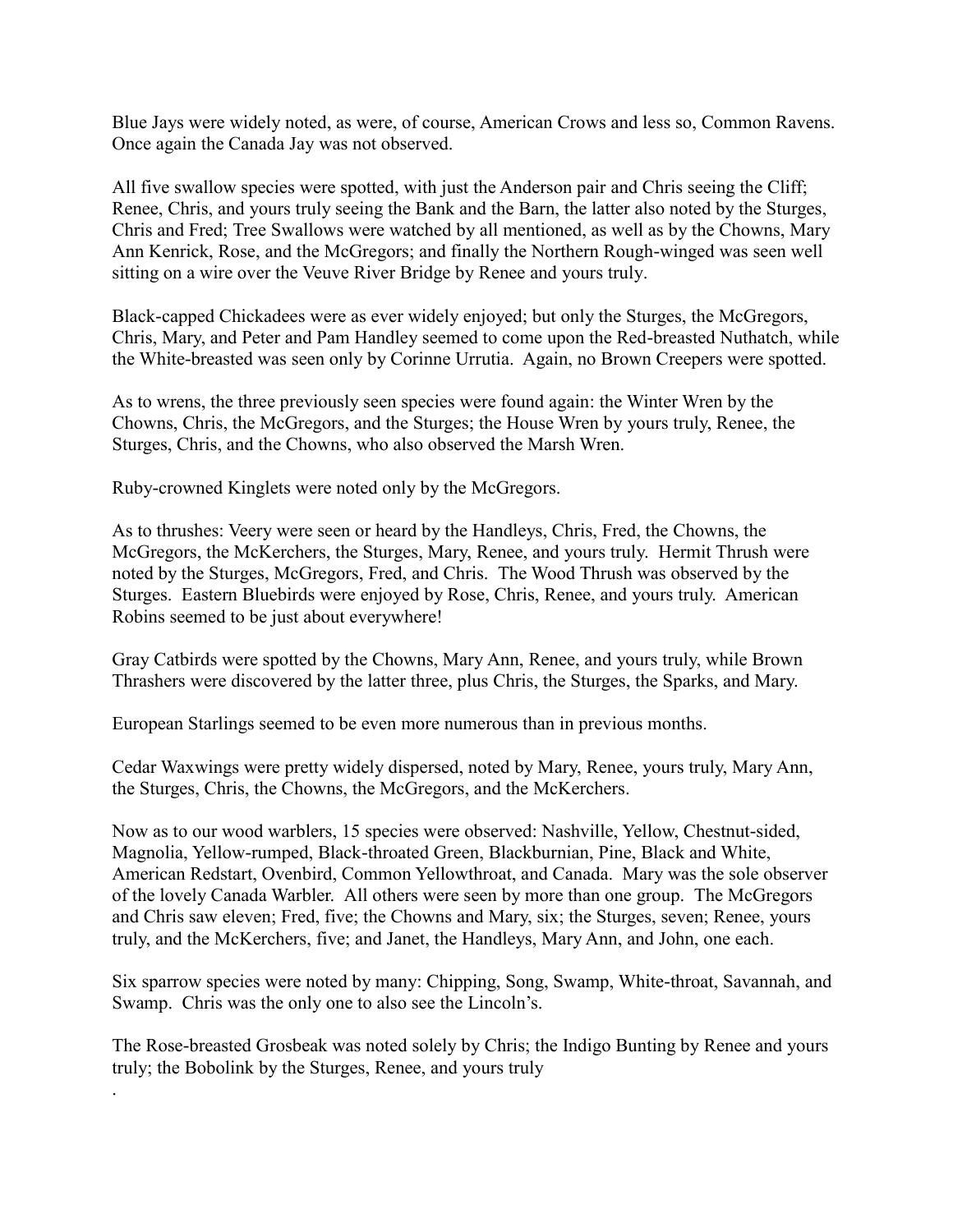Blue Jays were widely noted, as were, of course, American Crows and less so, Common Ravens. Once again the Canada Jay was not observed.

All five swallow species were spotted, with just the Anderson pair and Chris seeing the Cliff; Renee, Chris, and yours truly seeing the Bank and the Barn, the latter also noted by the Sturges, Chris and Fred; Tree Swallows were watched by all mentioned, as well as by the Chowns, Mary Ann Kenrick, Rose, and the McGregors; and finally the Northern Rough-winged was seen well sitting on a wire over the Veuve River Bridge by Renee and yours truly.

Black-capped Chickadees were as ever widely enjoyed; but only the Sturges, the McGregors, Chris, Mary, and Peter and Pam Handley seemed to come upon the Red-breasted Nuthatch, while the White-breasted was seen only by Corinne Urrutia. Again, no Brown Creepers were spotted.

As to wrens, the three previously seen species were found again: the Winter Wren by the Chowns, Chris, the McGregors, and the Sturges; the House Wren by yours truly, Renee, the Sturges, Chris, and the Chowns, who also observed the Marsh Wren.

Ruby-crowned Kinglets were noted only by the McGregors.

.

As to thrushes: Veery were seen or heard by the Handleys, Chris, Fred, the Chowns, the McGregors, the McKerchers, the Sturges, Mary, Renee, and yours truly. Hermit Thrush were noted by the Sturges, McGregors, Fred, and Chris. The Wood Thrush was observed by the Sturges. Eastern Bluebirds were enjoyed by Rose, Chris, Renee, and yours truly. American Robins seemed to be just about everywhere!

Gray Catbirds were spotted by the Chowns, Mary Ann, Renee, and yours truly, while Brown Thrashers were discovered by the latter three, plus Chris, the Sturges, the Sparks, and Mary.

European Starlings seemed to be even more numerous than in previous months.

Cedar Waxwings were pretty widely dispersed, noted by Mary, Renee, yours truly, Mary Ann, the Sturges, Chris, the Chowns, the McGregors, and the McKerchers.

Now as to our wood warblers, 15 species were observed: Nashville, Yellow, Chestnut-sided, Magnolia, Yellow-rumped, Black-throated Green, Blackburnian, Pine, Black and White, American Redstart, Ovenbird, Common Yellowthroat, and Canada. Mary was the sole observer of the lovely Canada Warbler. All others were seen by more than one group. The McGregors and Chris saw eleven; Fred, five; the Chowns and Mary, six; the Sturges, seven; Renee, yours truly, and the McKerchers, five; and Janet, the Handleys, Mary Ann, and John, one each.

Six sparrow species were noted by many: Chipping, Song, Swamp, White-throat, Savannah, and Swamp. Chris was the only one to also see the Lincoln's.

The Rose-breasted Grosbeak was noted solely by Chris; the Indigo Bunting by Renee and yours truly; the Bobolink by the Sturges, Renee, and yours truly